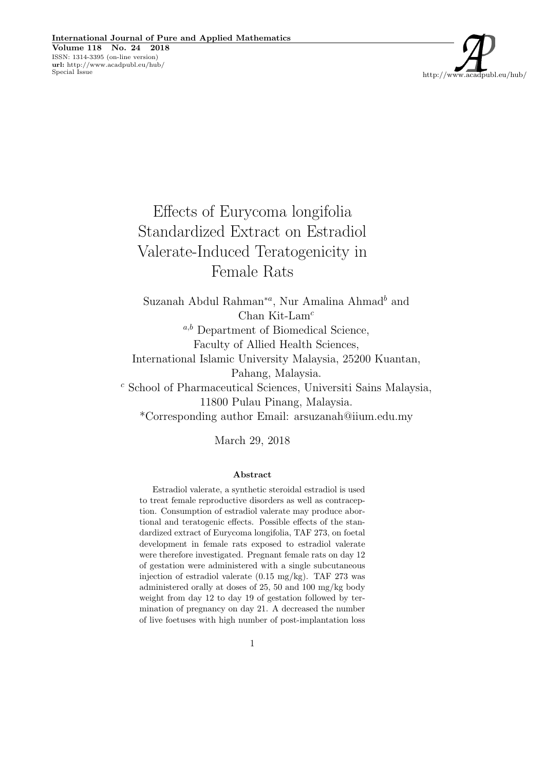http://www.acadpubl.eu/hub/

Effects of Eurycoma longifolia Standardized Extract on Estradiol Valerate-Induced Teratogenicity in Female Rats

Suzanah Abdul Rahman<sup>\*a</sup>, Nur Amalina Ahmad<sup>b</sup> and Chan Kit-Lam<sup>c</sup>  $a,b$  Department of Biomedical Science, Faculty of Allied Health Sciences, International Islamic University Malaysia, 25200 Kuantan, Pahang, Malaysia. <sup>c</sup> School of Pharmaceutical Sciences, Universiti Sains Malaysia, 11800 Pulau Pinang, Malaysia. \*Corresponding author Email: arsuzanah@iium.edu.my

March 29, 2018

### Abstract

Estradiol valerate, a synthetic steroidal estradiol is used to treat female reproductive disorders as well as contraception. Consumption of estradiol valerate may produce abortional and teratogenic effects. Possible effects of the standardized extract of Eurycoma longifolia, TAF 273, on foetal development in female rats exposed to estradiol valerate were therefore investigated. Pregnant female rats on day 12 of gestation were administered with a single subcutaneous injection of estradiol valerate  $(0.15 \text{ mg/kg})$ . TAF 273 was administered orally at doses of 25, 50 and 100 mg/kg body weight from day 12 to day 19 of gestation followed by termination of pregnancy on day 21. A decreased the number of live foetuses with high number of post-implantation loss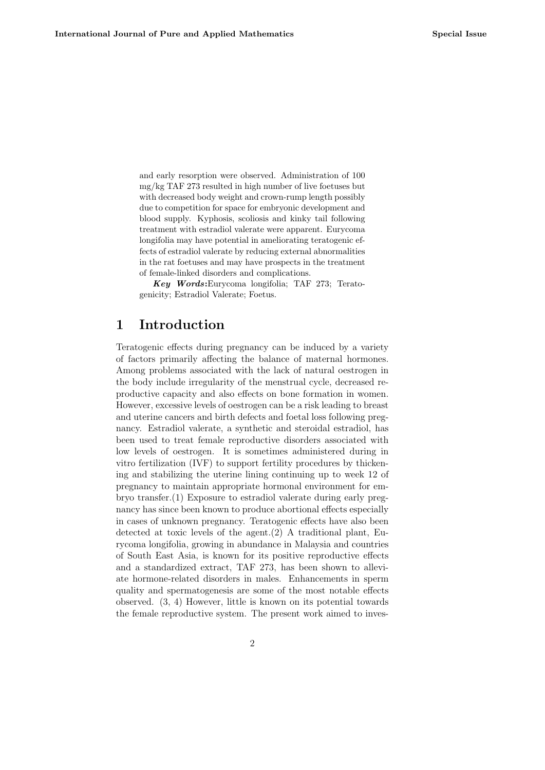and early resorption were observed. Administration of 100 mg/kg TAF 273 resulted in high number of live foetuses but with decreased body weight and crown-rump length possibly due to competition for space for embryonic development and blood supply. Kyphosis, scoliosis and kinky tail following treatment with estradiol valerate were apparent. Eurycoma longifolia may have potential in ameliorating teratogenic effects of estradiol valerate by reducing external abnormalities in the rat foetuses and may have prospects in the treatment of female-linked disorders and complications.

Key Words:Eurycoma longifolia; TAF 273; Teratogenicity; Estradiol Valerate; Foetus.

# 1 Introduction

Teratogenic effects during pregnancy can be induced by a variety of factors primarily affecting the balance of maternal hormones. Among problems associated with the lack of natural oestrogen in the body include irregularity of the menstrual cycle, decreased reproductive capacity and also effects on bone formation in women. However, excessive levels of oestrogen can be a risk leading to breast and uterine cancers and birth defects and foetal loss following pregnancy. Estradiol valerate, a synthetic and steroidal estradiol, has been used to treat female reproductive disorders associated with low levels of oestrogen. It is sometimes administered during in vitro fertilization (IVF) to support fertility procedures by thickening and stabilizing the uterine lining continuing up to week 12 of pregnancy to maintain appropriate hormonal environment for embryo transfer.(1) Exposure to estradiol valerate during early pregnancy has since been known to produce abortional effects especially in cases of unknown pregnancy. Teratogenic effects have also been detected at toxic levels of the agent.(2) A traditional plant, Eurycoma longifolia, growing in abundance in Malaysia and countries of South East Asia, is known for its positive reproductive effects and a standardized extract, TAF 273, has been shown to alleviate hormone-related disorders in males. Enhancements in sperm quality and spermatogenesis are some of the most notable effects observed. (3, 4) However, little is known on its potential towards the female reproductive system. The present work aimed to inves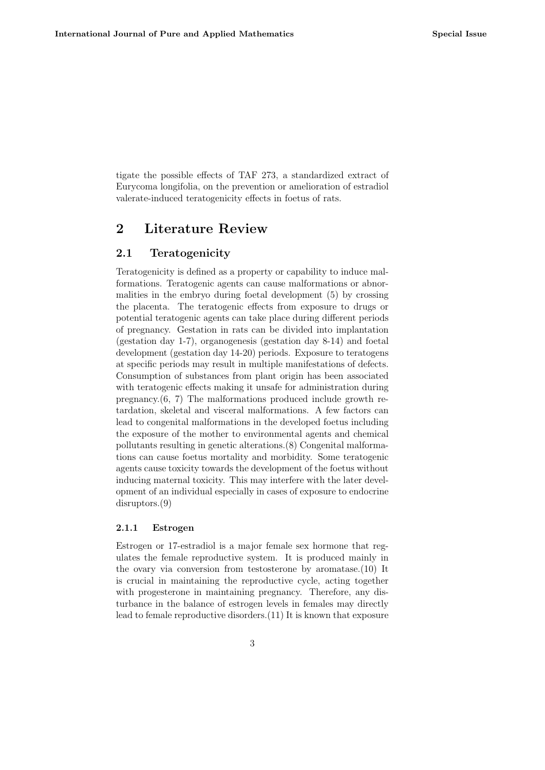tigate the possible effects of TAF 273, a standardized extract of Eurycoma longifolia, on the prevention or amelioration of estradiol valerate-induced teratogenicity effects in foetus of rats.

# 2 Literature Review

### 2.1 Teratogenicity

Teratogenicity is defined as a property or capability to induce malformations. Teratogenic agents can cause malformations or abnormalities in the embryo during foetal development (5) by crossing the placenta. The teratogenic effects from exposure to drugs or potential teratogenic agents can take place during different periods of pregnancy. Gestation in rats can be divided into implantation (gestation day 1-7), organogenesis (gestation day 8-14) and foetal development (gestation day 14-20) periods. Exposure to teratogens at specific periods may result in multiple manifestations of defects. Consumption of substances from plant origin has been associated with teratogenic effects making it unsafe for administration during pregnancy.(6, 7) The malformations produced include growth retardation, skeletal and visceral malformations. A few factors can lead to congenital malformations in the developed foetus including the exposure of the mother to environmental agents and chemical pollutants resulting in genetic alterations.(8) Congenital malformations can cause foetus mortality and morbidity. Some teratogenic agents cause toxicity towards the development of the foetus without inducing maternal toxicity. This may interfere with the later development of an individual especially in cases of exposure to endocrine disruptors.(9)

### 2.1.1 Estrogen

Estrogen or 17-estradiol is a major female sex hormone that regulates the female reproductive system. It is produced mainly in the ovary via conversion from testosterone by aromatase.(10) It is crucial in maintaining the reproductive cycle, acting together with progesterone in maintaining pregnancy. Therefore, any disturbance in the balance of estrogen levels in females may directly lead to female reproductive disorders.(11) It is known that exposure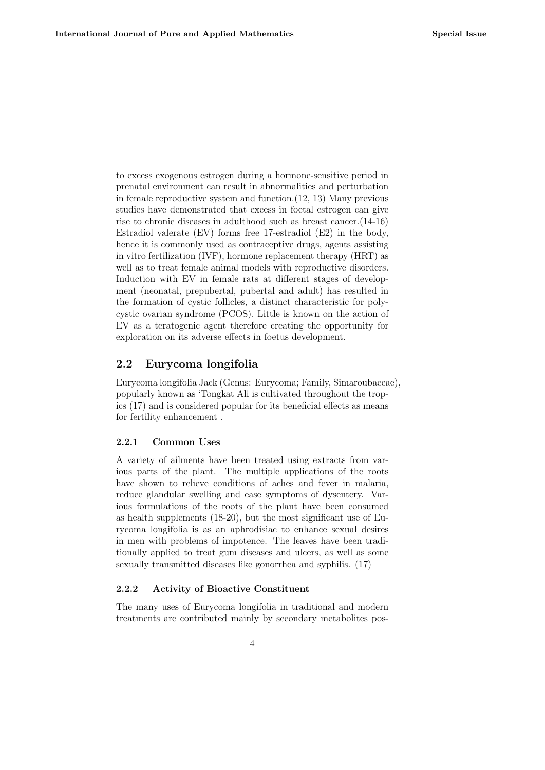to excess exogenous estrogen during a hormone-sensitive period in prenatal environment can result in abnormalities and perturbation in female reproductive system and function.(12, 13) Many previous studies have demonstrated that excess in foetal estrogen can give rise to chronic diseases in adulthood such as breast cancer.(14-16) Estradiol valerate (EV) forms free 17-estradiol (E2) in the body, hence it is commonly used as contraceptive drugs, agents assisting in vitro fertilization (IVF), hormone replacement therapy (HRT) as well as to treat female animal models with reproductive disorders. Induction with EV in female rats at different stages of development (neonatal, prepubertal, pubertal and adult) has resulted in the formation of cystic follicles, a distinct characteristic for polycystic ovarian syndrome (PCOS). Little is known on the action of EV as a teratogenic agent therefore creating the opportunity for exploration on its adverse effects in foetus development.

## 2.2 Eurycoma longifolia

Eurycoma longifolia Jack (Genus: Eurycoma; Family, Simaroubaceae), popularly known as 'Tongkat Ali is cultivated throughout the tropics (17) and is considered popular for its beneficial effects as means for fertility enhancement .

#### 2.2.1 Common Uses

A variety of ailments have been treated using extracts from various parts of the plant. The multiple applications of the roots have shown to relieve conditions of aches and fever in malaria, reduce glandular swelling and ease symptoms of dysentery. Various formulations of the roots of the plant have been consumed as health supplements (18-20), but the most significant use of Eurycoma longifolia is as an aphrodisiac to enhance sexual desires in men with problems of impotence. The leaves have been traditionally applied to treat gum diseases and ulcers, as well as some sexually transmitted diseases like gonorrhea and syphilis. (17)

#### 2.2.2 Activity of Bioactive Constituent

The many uses of Eurycoma longifolia in traditional and modern treatments are contributed mainly by secondary metabolites pos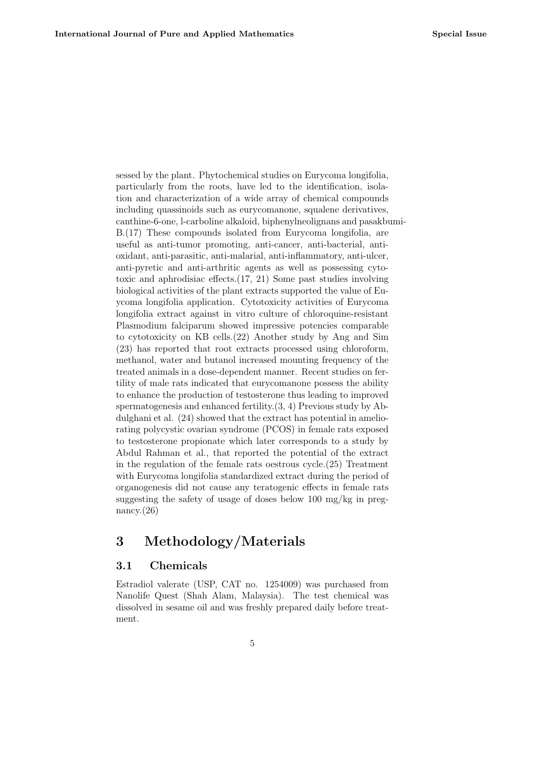sessed by the plant. Phytochemical studies on Eurycoma longifolia, particularly from the roots, have led to the identification, isolation and characterization of a wide array of chemical compounds including quassinoids such as eurycomanone, squalene derivatives, canthine-6-one, l-carboline alkaloid, biphenylneolignans and pasakbumi-B.(17) These compounds isolated from Eurycoma longifolia, are useful as anti-tumor promoting, anti-cancer, anti-bacterial, antioxidant, anti-parasitic, anti-malarial, anti-inflammatory, anti-ulcer, anti-pyretic and anti-arthritic agents as well as possessing cytotoxic and aphrodisiac effects.(17, 21) Some past studies involving biological activities of the plant extracts supported the value of Euycoma longifolia application. Cytotoxicity activities of Eurycoma longifolia extract against in vitro culture of chloroquine-resistant Plasmodium falciparum showed impressive potencies comparable to cytotoxicity on KB cells.(22) Another study by Ang and Sim (23) has reported that root extracts processed using chloroform, methanol, water and butanol increased mounting frequency of the treated animals in a dose-dependent manner. Recent studies on fertility of male rats indicated that eurycomanone possess the ability to enhance the production of testosterone thus leading to improved spermatogenesis and enhanced fertility.(3, 4) Previous study by Abdulghani et al. (24) showed that the extract has potential in ameliorating polycystic ovarian syndrome (PCOS) in female rats exposed to testosterone propionate which later corresponds to a study by Abdul Rahman et al., that reported the potential of the extract in the regulation of the female rats oestrous cycle.(25) Treatment with Eurycoma longifolia standardized extract during the period of organogenesis did not cause any teratogenic effects in female rats suggesting the safety of usage of doses below 100 mg/kg in pregnancy. $(26)$ 

# 3 Methodology/Materials

## 3.1 Chemicals

Estradiol valerate (USP, CAT no. 1254009) was purchased from Nanolife Quest (Shah Alam, Malaysia). The test chemical was dissolved in sesame oil and was freshly prepared daily before treatment.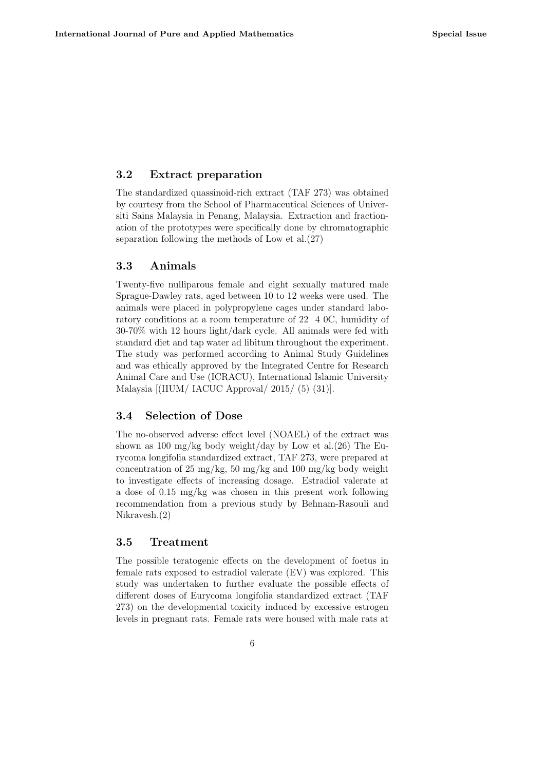## 3.2 Extract preparation

The standardized quassinoid-rich extract (TAF 273) was obtained by courtesy from the School of Pharmaceutical Sciences of Universiti Sains Malaysia in Penang, Malaysia. Extraction and fractionation of the prototypes were specifically done by chromatographic separation following the methods of Low et al.(27)

## 3.3 Animals

Twenty-five nulliparous female and eight sexually matured male Sprague-Dawley rats, aged between 10 to 12 weeks were used. The animals were placed in polypropylene cages under standard laboratory conditions at a room temperature of 22 4 0C, humidity of 30-70% with 12 hours light/dark cycle. All animals were fed with standard diet and tap water ad libitum throughout the experiment. The study was performed according to Animal Study Guidelines and was ethically approved by the Integrated Centre for Research Animal Care and Use (ICRACU), International Islamic University Malaysia [(IIUM/ IACUC Approval/ 2015/ (5) (31)].

## 3.4 Selection of Dose

The no-observed adverse effect level (NOAEL) of the extract was shown as 100 mg/kg body weight/day by Low et al.(26) The Eurycoma longifolia standardized extract, TAF 273, were prepared at concentration of 25 mg/kg, 50 mg/kg and 100 mg/kg body weight to investigate effects of increasing dosage. Estradiol valerate at a dose of 0.15 mg/kg was chosen in this present work following recommendation from a previous study by Behnam-Rasouli and Nikravesh.(2)

#### 3.5 Treatment

The possible teratogenic effects on the development of foetus in female rats exposed to estradiol valerate (EV) was explored. This study was undertaken to further evaluate the possible effects of different doses of Eurycoma longifolia standardized extract (TAF 273) on the developmental toxicity induced by excessive estrogen levels in pregnant rats. Female rats were housed with male rats at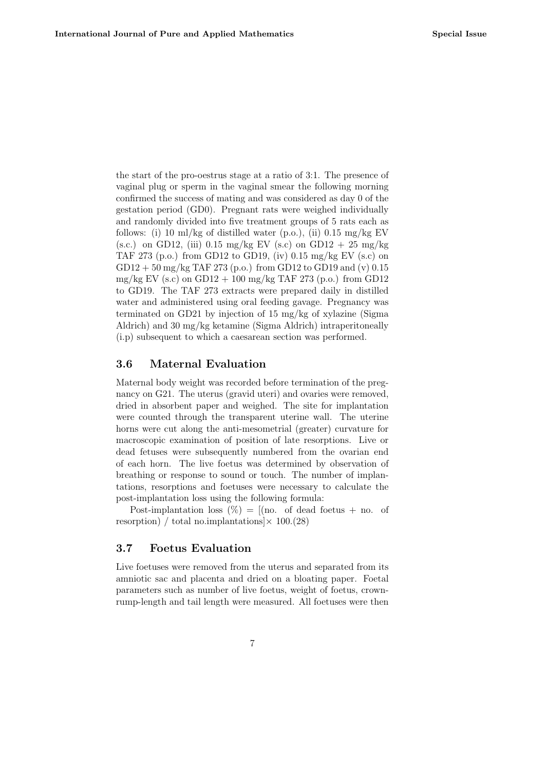the start of the pro-oestrus stage at a ratio of 3:1. The presence of vaginal plug or sperm in the vaginal smear the following morning confirmed the success of mating and was considered as day 0 of the gestation period (GD0). Pregnant rats were weighed individually and randomly divided into five treatment groups of 5 rats each as follows: (i) 10 ml/kg of distilled water (p.o.), (ii)  $0.15 \text{ mg/kg EV}$ (s.c.) on GD12, (iii)  $0.15 \text{ mg/kg}$  EV (s.c) on GD12 + 25 mg/kg TAF 273 (p.o.) from GD12 to GD19, (iv) 0.15 mg/kg EV (s.c) on  $GD12 + 50$  mg/kg TAF 273 (p.o.) from GD12 to GD19 and (v) 0.15 mg/kg EV (s.c) on GD12 + 100 mg/kg TAF 273 (p.o.) from GD12 to GD19. The TAF 273 extracts were prepared daily in distilled water and administered using oral feeding gavage. Pregnancy was terminated on GD21 by injection of 15 mg/kg of xylazine (Sigma Aldrich) and 30 mg/kg ketamine (Sigma Aldrich) intraperitoneally (i.p) subsequent to which a caesarean section was performed.

## 3.6 Maternal Evaluation

Maternal body weight was recorded before termination of the pregnancy on G21. The uterus (gravid uteri) and ovaries were removed, dried in absorbent paper and weighed. The site for implantation were counted through the transparent uterine wall. The uterine horns were cut along the anti-mesometrial (greater) curvature for macroscopic examination of position of late resorptions. Live or dead fetuses were subsequently numbered from the ovarian end of each horn. The live foetus was determined by observation of breathing or response to sound or touch. The number of implantations, resorptions and foetuses were necessary to calculate the post-implantation loss using the following formula:

Post-implantation loss  $(\%) = [(\text{no. of dead focus + no. of}]$ resorption) / total no.implantations  $\times$  100.(28)

### 3.7 Foetus Evaluation

Live foetuses were removed from the uterus and separated from its amniotic sac and placenta and dried on a bloating paper. Foetal parameters such as number of live foetus, weight of foetus, crownrump-length and tail length were measured. All foetuses were then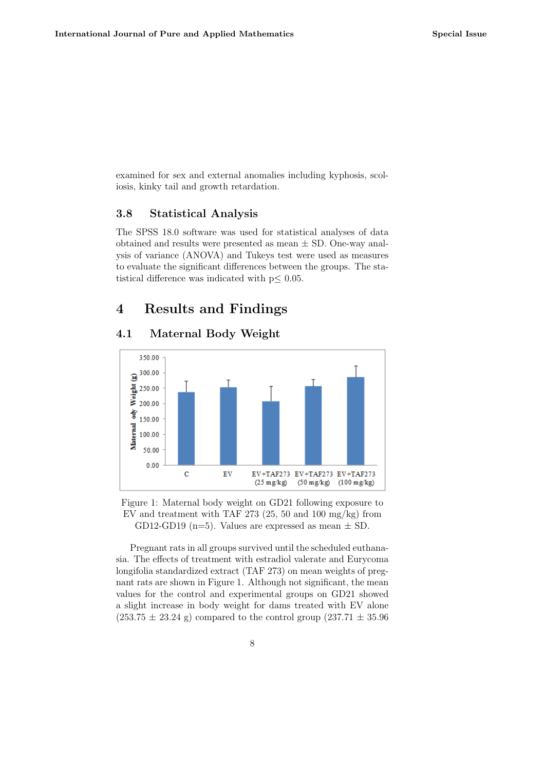examined for sex and external anomalies including kyphosis, scoliosis, kinky tail and growth retardation.

## 3.8 Statistical Analysis

The SPSS 18.0 software was used for statistical analyses of data obtained and results were presented as mean  $\pm$  SD. One-way analysis of variance (ANOVA) and Tukeys test were used as measures to evaluate the significant differences between the groups. The statistical difference was indicated with  $p \leq 0.05$ .

# 4 Results and Findings

## 4.1 Maternal Body Weight



Figure 1: Maternal body weight on GD21 following exposure to EV and treatment with TAF 273 (25, 50 and 100 mg/kg) from GD12-GD19 (n=5). Values are expressed as mean  $\pm$  SD.

Pregnant rats in all groups survived until the scheduled euthanasia. The effects of treatment with estradiol valerate and Eurycoma longifolia standardized extract (TAF 273) on mean weights of pregnant rats are shown in Figure 1. Although not significant, the mean values for the control and experimental groups on GD21 showed a slight increase in body weight for dams treated with EV alone  $(253.75 \pm 23.24 \text{ g})$  compared to the control group  $(237.71 \pm 35.96 \text{ g})$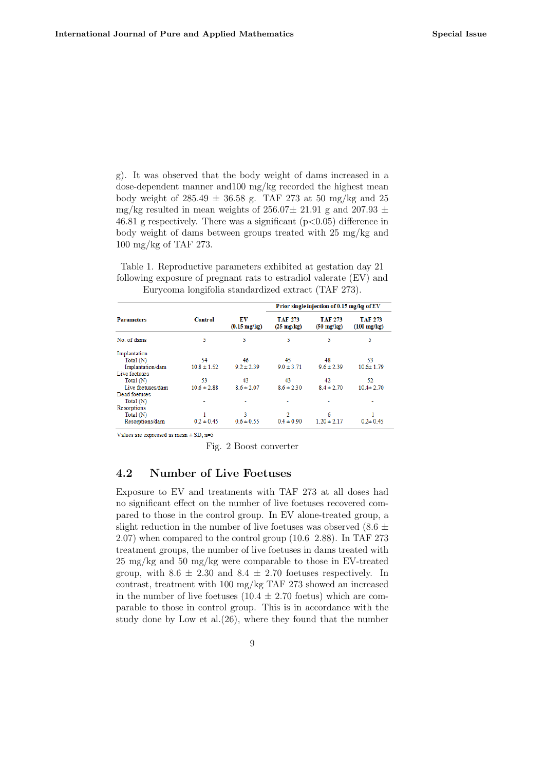g). It was observed that the body weight of dams increased in a dose-dependent manner and100 mg/kg recorded the highest mean body weight of  $285.49 \pm 36.58$  g. TAF 273 at 50 mg/kg and 25 mg/kg resulted in mean weights of  $256.07 \pm 21.91$  g and  $207.93 \pm 1.91$ 46.81 g respectively. There was a significant  $(p<0.05)$  difference in body weight of dams between groups treated with 25 mg/kg and 100 mg/kg of TAF 273.

Table 1. Reproductive parameters exhibited at gestation day 21 following exposure of pregnant rats to estradiol valerate (EV) and Eurycoma longifolia standardized extract (TAF 273).

| <b>Parameters</b> | <b>Control</b>  | EV<br>$(0.15 \text{ mg/kg})$ | Prior single injection of 0.15 mg/kg of EV |                                 |                                  |  |
|-------------------|-----------------|------------------------------|--------------------------------------------|---------------------------------|----------------------------------|--|
|                   |                 |                              | <b>TAF 273</b><br>$(25 \text{ mg/kg})$     | TAF 273<br>$(50 \text{ mg/kg})$ | TAF 273<br>$(100 \text{ mg/kg})$ |  |
| No. of dams       | 5               | 5                            | 5                                          | 5                               | 5                                |  |
| Implantation      |                 |                              |                                            |                                 |                                  |  |
| Total (N)         | 54              | 46                           | 45                                         | 48                              | 53                               |  |
| Implantation/dam  | $10.8 \pm 1.52$ | $9.2 \pm 2.39$               | $9.0 \pm 3.71$                             | $9.6 \pm 2.39$                  | $10.6 \pm 1.79$                  |  |
| Live foetuses     |                 |                              |                                            |                                 |                                  |  |
| Total $(N)$       | 53              | 43                           | 43                                         | 42                              | 52                               |  |
| Live foetuses/dam | $10.6 \pm 2.88$ | $8.6 \pm 2.07$               | $8.6 \pm 2.30$                             | $8.4 \pm 2.70$                  | $10.4 \pm 2.70$                  |  |
| Dead foetuses     |                 |                              |                                            |                                 |                                  |  |
| Total $(N)$       |                 |                              |                                            |                                 |                                  |  |
| Resorptions       |                 |                              |                                            |                                 |                                  |  |
| Total (N)         |                 | З                            | $\overline{2}$                             | 6                               |                                  |  |
| Resorptions/dam   | $0.2 \pm 0.45$  | $0.6 \pm 0.55$               | $0.4 \pm 0.90$                             | $1.20 \pm 2.17$                 | $0.2 \pm 0.45$                   |  |

Values are expressed as mean  $\pm$  SD, n=5

Fig. 2 Boost converter

### 4.2 Number of Live Foetuses

Exposure to EV and treatments with TAF 273 at all doses had no significant effect on the number of live foetuses recovered compared to those in the control group. In EV alone-treated group, a slight reduction in the number of live foetuses was observed  $(8.6 \pm$ 2.07) when compared to the control group (10.6 2.88). In TAF 273 treatment groups, the number of live foetuses in dams treated with 25 mg/kg and 50 mg/kg were comparable to those in EV-treated group, with  $8.6 \pm 2.30$  and  $8.4 \pm 2.70$  foetuses respectively. In contrast, treatment with 100 mg/kg TAF 273 showed an increased in the number of live foetuses  $(10.4 \pm 2.70)$  foetus) which are comparable to those in control group. This is in accordance with the study done by Low et al.(26), where they found that the number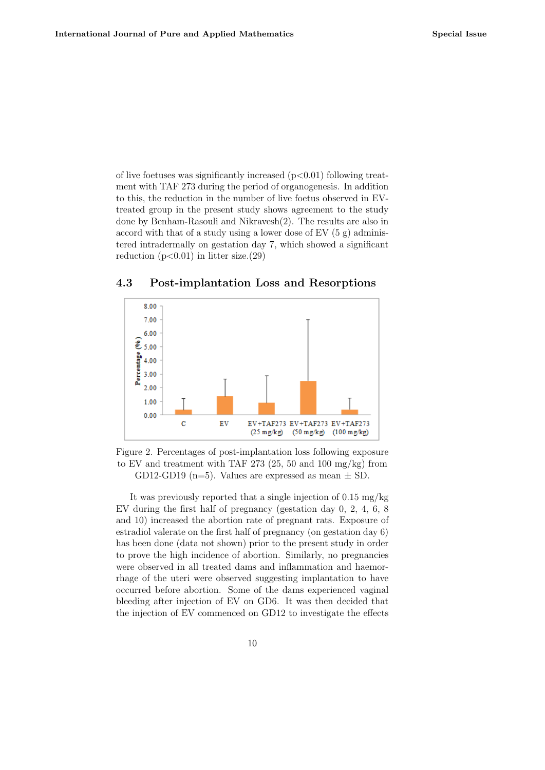of live foetuses was significantly increased  $(p<0.01)$  following treatment with TAF 273 during the period of organogenesis. In addition to this, the reduction in the number of live foetus observed in EVtreated group in the present study shows agreement to the study done by Benham-Rasouli and Nikravesh(2). The results are also in accord with that of a study using a lower dose of EV (5 g) administered intradermally on gestation day 7, which showed a significant reduction  $(p<0.01)$  in litter size. (29)

### 4.3 Post-implantation Loss and Resorptions



Figure 2. Percentages of post-implantation loss following exposure to EV and treatment with TAF 273 (25, 50 and 100 mg/kg) from GD12-GD19 (n=5). Values are expressed as mean  $\pm$  SD.

It was previously reported that a single injection of 0.15 mg/kg EV during the first half of pregnancy (gestation day 0, 2, 4, 6, 8 and 10) increased the abortion rate of pregnant rats. Exposure of estradiol valerate on the first half of pregnancy (on gestation day 6) has been done (data not shown) prior to the present study in order to prove the high incidence of abortion. Similarly, no pregnancies were observed in all treated dams and inflammation and haemorrhage of the uteri were observed suggesting implantation to have occurred before abortion. Some of the dams experienced vaginal bleeding after injection of EV on GD6. It was then decided that the injection of EV commenced on GD12 to investigate the effects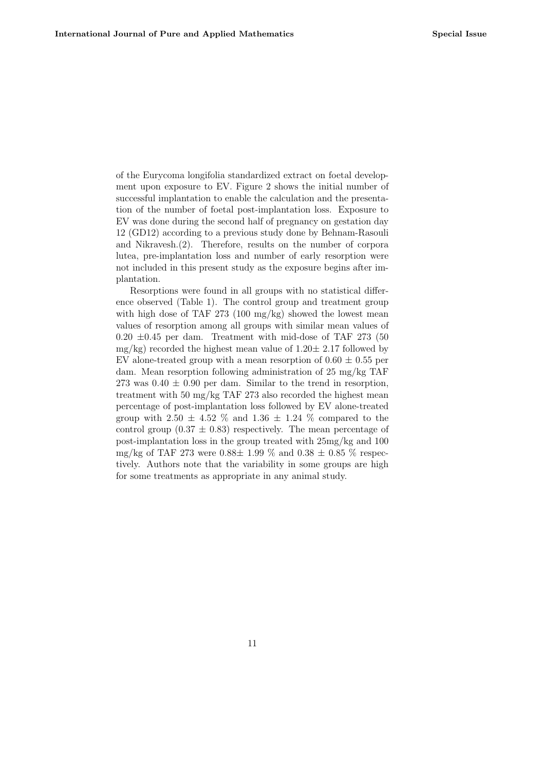of the Eurycoma longifolia standardized extract on foetal development upon exposure to EV. Figure 2 shows the initial number of successful implantation to enable the calculation and the presentation of the number of foetal post-implantation loss. Exposure to EV was done during the second half of pregnancy on gestation day 12 (GD12) according to a previous study done by Behnam-Rasouli and Nikravesh.(2). Therefore, results on the number of corpora lutea, pre-implantation loss and number of early resorption were not included in this present study as the exposure begins after implantation.

Resorptions were found in all groups with no statistical difference observed (Table 1). The control group and treatment group with high dose of TAF 273 (100 mg/kg) showed the lowest mean values of resorption among all groups with similar mean values of  $0.20 \pm 0.45$  per dam. Treatment with mid-dose of TAF 273 (50)  $mg/kg$ ) recorded the highest mean value of  $1.20 \pm 2.17$  followed by EV alone-treated group with a mean resorption of  $0.60 \pm 0.55$  per dam. Mean resorption following administration of 25 mg/kg TAF 273 was  $0.40 \pm 0.90$  per dam. Similar to the trend in resorption, treatment with 50 mg/kg TAF 273 also recorded the highest mean percentage of post-implantation loss followed by EV alone-treated group with 2.50  $\pm$  4.52  $\%$  and 1.36  $\pm$  1.24  $\%$  compared to the control group  $(0.37 \pm 0.83)$  respectively. The mean percentage of post-implantation loss in the group treated with 25mg/kg and 100 mg/kg of TAF 273 were  $0.88\pm 1.99$  % and  $0.38 \pm 0.85$  % respectively. Authors note that the variability in some groups are high for some treatments as appropriate in any animal study.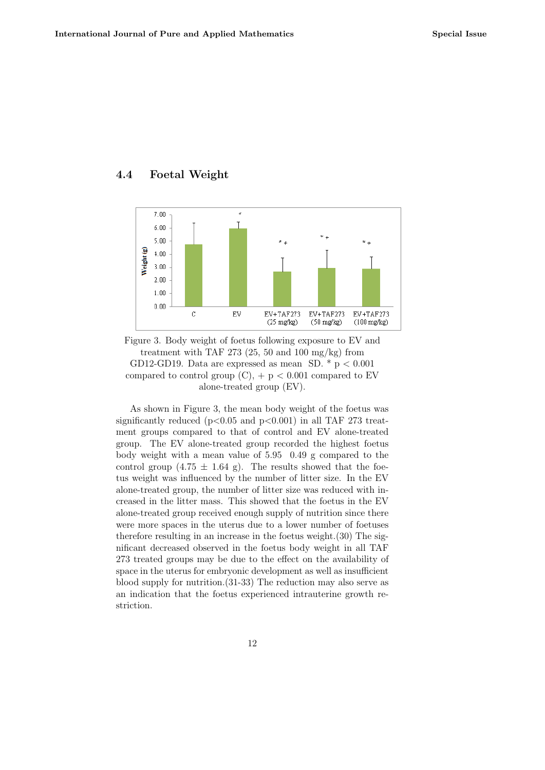## 4.4 Foetal Weight



Figure 3. Body weight of foetus following exposure to EV and treatment with TAF 273  $(25, 50 \text{ and } 100 \text{ mg/kg})$  from GD12-GD19. Data are expressed as mean SD.  $*$  p < 0.001 compared to control group  $(C)$ ,  $+ p < 0.001$  compared to EV alone-treated group (EV).

As shown in Figure 3, the mean body weight of the foetus was significantly reduced ( $p<0.05$  and  $p<0.001$ ) in all TAF 273 treatment groups compared to that of control and EV alone-treated group. The EV alone-treated group recorded the highest foetus body weight with a mean value of 5.95 0.49 g compared to the control group  $(4.75 \pm 1.64 \text{ g})$ . The results showed that the foetus weight was influenced by the number of litter size. In the EV alone-treated group, the number of litter size was reduced with increased in the litter mass. This showed that the foetus in the EV alone-treated group received enough supply of nutrition since there were more spaces in the uterus due to a lower number of foetuses therefore resulting in an increase in the foetus weight.(30) The significant decreased observed in the foetus body weight in all TAF 273 treated groups may be due to the effect on the availability of space in the uterus for embryonic development as well as insufficient blood supply for nutrition.(31-33) The reduction may also serve as an indication that the foetus experienced intrauterine growth restriction.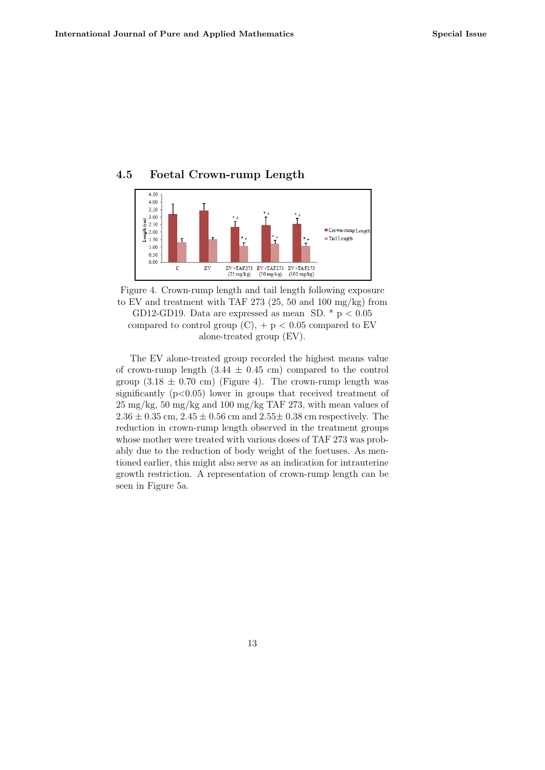## 4.5 Foetal Crown-rump Length



Figure 4. Crown-rump length and tail length following exposure to EV and treatment with TAF 273 (25, 50 and 100 mg/kg) from GD12-GD19. Data are expressed as mean SD.  $*$  p < 0.05 compared to control group  $(C)$ , + p < 0.05 compared to EV alone-treated group (EV).

The EV alone-treated group recorded the highest means value of crown-rump length  $(3.44 \pm 0.45 \text{ cm})$  compared to the control group  $(3.18 \pm 0.70 \text{ cm})$  (Figure 4). The crown-rump length was significantly  $(p<0.05)$  lower in groups that received treatment of 25 mg/kg, 50 mg/kg and 100 mg/kg TAF 273, with mean values of  $2.36 \pm 0.35$  cm,  $2.45 \pm 0.56$  cm and  $2.55 \pm 0.38$  cm respectively. The reduction in crown-rump length observed in the treatment groups whose mother were treated with various doses of TAF 273 was probably due to the reduction of body weight of the foetuses. As mentioned earlier, this might also serve as an indication for intrauterine growth restriction. A representation of crown-rump length can be seen in Figure 5a.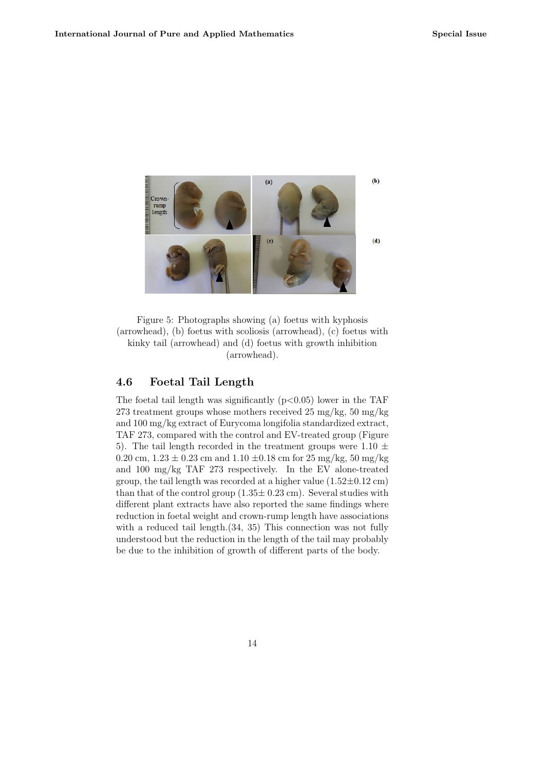

Figure 5: Photographs showing (a) foetus with kyphosis (arrowhead), (b) foetus with scoliosis (arrowhead), (c) foetus with kinky tail (arrowhead) and (d) foetus with growth inhibition (arrowhead).

### 4.6 Foetal Tail Length

The foetal tail length was significantly  $(p<0.05)$  lower in the TAF 273 treatment groups whose mothers received  $25 \text{ mg/kg}, 50 \text{ mg/kg}$ and 100 mg/kg extract of Eurycoma longifolia standardized extract, TAF 273, compared with the control and EV-treated group (Figure 5). The tail length recorded in the treatment groups were  $1.10 \pm$ 0.20 cm,  $1.23 \pm 0.23$  cm and  $1.10 \pm 0.18$  cm for  $25 \text{ mg/kg}, 50 \text{ mg/kg}$ and 100 mg/kg TAF 273 respectively. In the EV alone-treated group, the tail length was recorded at a higher value  $(1.52\pm0.12 \text{ cm})$ than that of the control group  $(1.35\pm 0.23 \text{ cm})$ . Several studies with different plant extracts have also reported the same findings where reduction in foetal weight and crown-rump length have associations with a reduced tail length.  $(34, 35)$  This connection was not fully understood but the reduction in the length of the tail may probably be due to the inhibition of growth of different parts of the body.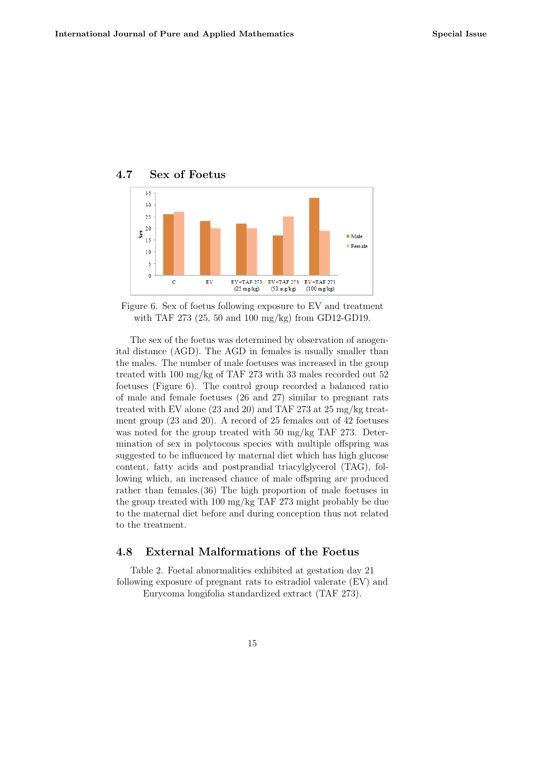

### 4.7 Sex of Foetus

Figure 6. Sex of foetus following exposure to EV and treatment with TAF 273 (25, 50 and 100 mg/kg) from GD12-GD19.

The sex of the foetus was determined by observation of anogenital distance (AGD). The AGD in females is usually smaller than the males. The number of male foetuses was increased in the group treated with 100 mg/kg of TAF 273 with 33 males recorded out 52 foetuses (Figure 6). The control group recorded a balanced ratio of male and female foetuses (26 and 27) similar to pregnant rats treated with EV alone (23 and 20) and TAF 273 at 25 mg/kg treatment group (23 and 20). A record of 25 females out of 42 foetuses was noted for the group treated with 50 mg/kg TAF 273. Determination of sex in polytocous species with multiple offspring was suggested to be influenced by maternal diet which has high glucose content, fatty acids and postprandial triacylglycerol (TAG), following which, an increased chance of male offspring are produced rather than females.(36) The high proportion of male foetuses in the group treated with 100 mg/kg TAF 273 might probably be due to the maternal diet before and during conception thus not related to the treatment.

## 4.8 External Malformations of the Foetus

Table 2. Foetal abnormalities exhibited at gestation day 21 following exposure of pregnant rats to estradiol valerate (EV) and Eurycoma longifolia standardized extract (TAF 273).

15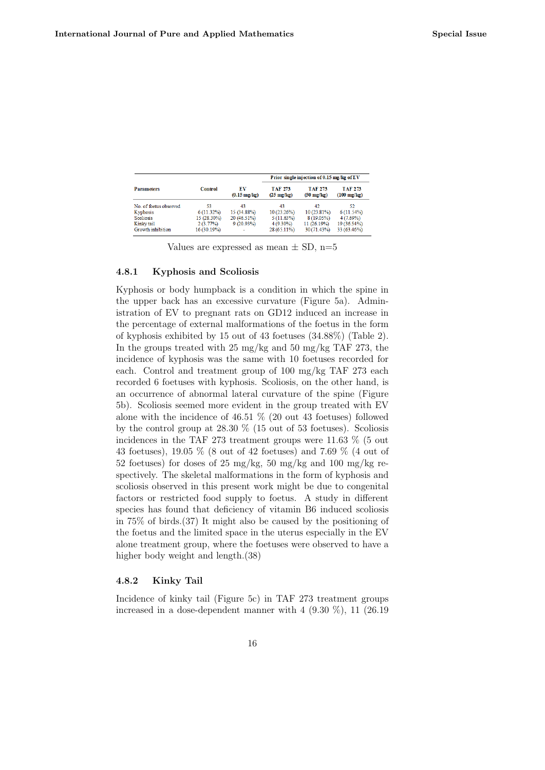| <b>Parameters</b>      | <b>Control</b> | EV<br>$(0.15 \text{ mg/kg})$ | Prior single injection of 0.15 mg/kg of EV |                                        |                                  |
|------------------------|----------------|------------------------------|--------------------------------------------|----------------------------------------|----------------------------------|
|                        |                |                              | <b>TAF 273</b><br>$(25 \text{ mg/kg})$     | <b>TAF 273</b><br>$(50 \text{ mg/kg})$ | TAF 273<br>$(100 \text{ mg/kg})$ |
| No. of foetus observed | 53             | 43                           | 43                                         | 42                                     | 52.                              |
| Kyphosis               | $6(11.32\%)$   | 15 (34.88%)                  | 10(23.26%)                                 | $10(23.81\%)$                          | $6(11.54\%)$                     |
| Scoliosis              | 15 (28.30%)    | 20 (46.51%)                  | $5(11.63\%)$                               | $8(19.05\%)$                           | $4(7.69\%)$                      |
| Kinky tail             | 2(3.77%)       | $9(20.93\%)$                 | $4(9.30\%)$                                | $11(26.19\%)$                          | 19 (36.54%)                      |
| Growth inhibition      | $16(30.19\%)$  |                              | $28(65.11\%)$                              | $30(71.43\%)$                          | 33 (63.46%)                      |

Values are expressed as mean  $\pm$  SD, n=5

#### 4.8.1 Kyphosis and Scoliosis

Kyphosis or body humpback is a condition in which the spine in the upper back has an excessive curvature (Figure 5a). Administration of EV to pregnant rats on GD12 induced an increase in the percentage of external malformations of the foetus in the form of kyphosis exhibited by 15 out of 43 foetuses (34.88%) (Table 2). In the groups treated with 25 mg/kg and 50 mg/kg TAF 273, the incidence of kyphosis was the same with 10 foetuses recorded for each. Control and treatment group of 100 mg/kg TAF 273 each recorded 6 foetuses with kyphosis. Scoliosis, on the other hand, is an occurrence of abnormal lateral curvature of the spine (Figure 5b). Scoliosis seemed more evident in the group treated with EV alone with the incidence of 46.51 % (20 out 43 foetuses) followed by the control group at 28.30 % (15 out of 53 foetuses). Scoliosis incidences in the TAF 273 treatment groups were 11.63 % (5 out 43 foetuses), 19.05 % (8 out of 42 foetuses) and 7.69 % (4 out of 52 foetuses) for doses of 25 mg/kg, 50 mg/kg and 100 mg/kg respectively. The skeletal malformations in the form of kyphosis and scoliosis observed in this present work might be due to congenital factors or restricted food supply to foetus. A study in different species has found that deficiency of vitamin B6 induced scoliosis in 75% of birds.(37) It might also be caused by the positioning of the foetus and the limited space in the uterus especially in the EV alone treatment group, where the foetuses were observed to have a higher body weight and length.(38)

### 4.8.2 Kinky Tail

Incidence of kinky tail (Figure 5c) in TAF 273 treatment groups increased in a dose-dependent manner with  $4$  (9.30 %), 11 (26.19)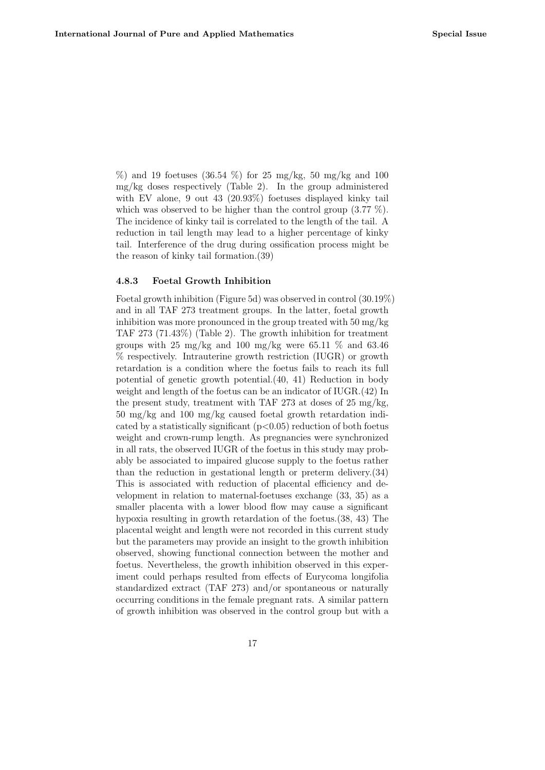$\%$ ) and 19 foetuses (36.54  $\%$ ) for 25 mg/kg, 50 mg/kg and 100 mg/kg doses respectively (Table 2). In the group administered with EV alone, 9 out 43 (20.93%) foetuses displayed kinky tail which was observed to be higher than the control group (3.77 %). The incidence of kinky tail is correlated to the length of the tail. A reduction in tail length may lead to a higher percentage of kinky tail. Interference of the drug during ossification process might be the reason of kinky tail formation.(39)

#### 4.8.3 Foetal Growth Inhibition

Foetal growth inhibition (Figure 5d) was observed in control (30.19%) and in all TAF 273 treatment groups. In the latter, foetal growth inhibition was more pronounced in the group treated with 50 mg/kg TAF 273 (71.43%) (Table 2). The growth inhibition for treatment groups with 25 mg/kg and 100 mg/kg were 65.11  $\%$  and 63.46 % respectively. Intrauterine growth restriction (IUGR) or growth retardation is a condition where the foetus fails to reach its full potential of genetic growth potential.(40, 41) Reduction in body weight and length of the foetus can be an indicator of IUGR.(42) In the present study, treatment with TAF 273 at doses of 25 mg/kg, 50 mg/kg and 100 mg/kg caused foetal growth retardation indicated by a statistically significant  $(p<0.05)$  reduction of both foetus weight and crown-rump length. As pregnancies were synchronized in all rats, the observed IUGR of the foetus in this study may probably be associated to impaired glucose supply to the foetus rather than the reduction in gestational length or preterm delivery.(34) This is associated with reduction of placental efficiency and development in relation to maternal-foetuses exchange (33, 35) as a smaller placenta with a lower blood flow may cause a significant hypoxia resulting in growth retardation of the foetus.(38, 43) The placental weight and length were not recorded in this current study but the parameters may provide an insight to the growth inhibition observed, showing functional connection between the mother and foetus. Nevertheless, the growth inhibition observed in this experiment could perhaps resulted from effects of Eurycoma longifolia standardized extract (TAF 273) and/or spontaneous or naturally occurring conditions in the female pregnant rats. A similar pattern of growth inhibition was observed in the control group but with a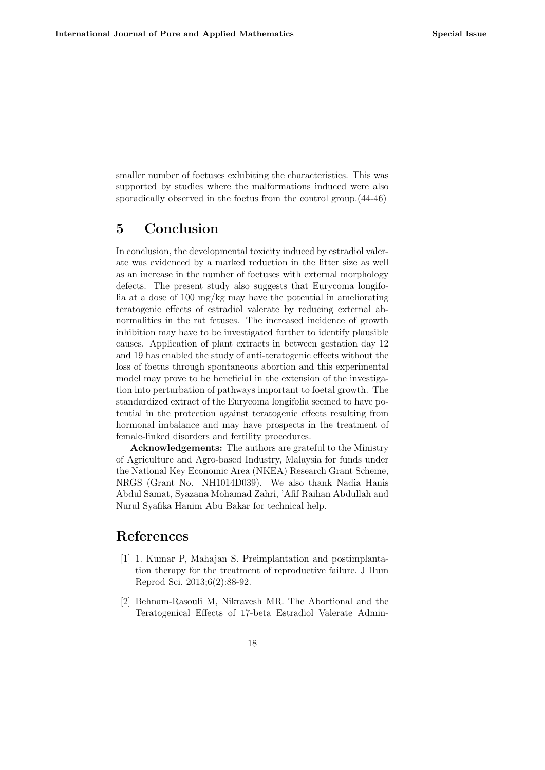smaller number of foetuses exhibiting the characteristics. This was supported by studies where the malformations induced were also sporadically observed in the foetus from the control group.(44-46)

# 5 Conclusion

In conclusion, the developmental toxicity induced by estradiol valerate was evidenced by a marked reduction in the litter size as well as an increase in the number of foetuses with external morphology defects. The present study also suggests that Eurycoma longifolia at a dose of 100 mg/kg may have the potential in ameliorating teratogenic effects of estradiol valerate by reducing external abnormalities in the rat fetuses. The increased incidence of growth inhibition may have to be investigated further to identify plausible causes. Application of plant extracts in between gestation day 12 and 19 has enabled the study of anti-teratogenic effects without the loss of foetus through spontaneous abortion and this experimental model may prove to be beneficial in the extension of the investigation into perturbation of pathways important to foetal growth. The standardized extract of the Eurycoma longifolia seemed to have potential in the protection against teratogenic effects resulting from hormonal imbalance and may have prospects in the treatment of female-linked disorders and fertility procedures.

Acknowledgements: The authors are grateful to the Ministry of Agriculture and Agro-based Industry, Malaysia for funds under the National Key Economic Area (NKEA) Research Grant Scheme, NRGS (Grant No. NH1014D039). We also thank Nadia Hanis Abdul Samat, Syazana Mohamad Zahri, 'Afif Raihan Abdullah and Nurul Syafika Hanim Abu Bakar for technical help.

# References

- [1] 1. Kumar P, Mahajan S. Preimplantation and postimplantation therapy for the treatment of reproductive failure. J Hum Reprod Sci. 2013;6(2):88-92.
- [2] Behnam-Rasouli M, Nikravesh MR. The Abortional and the Teratogenical Effects of 17-beta Estradiol Valerate Admin-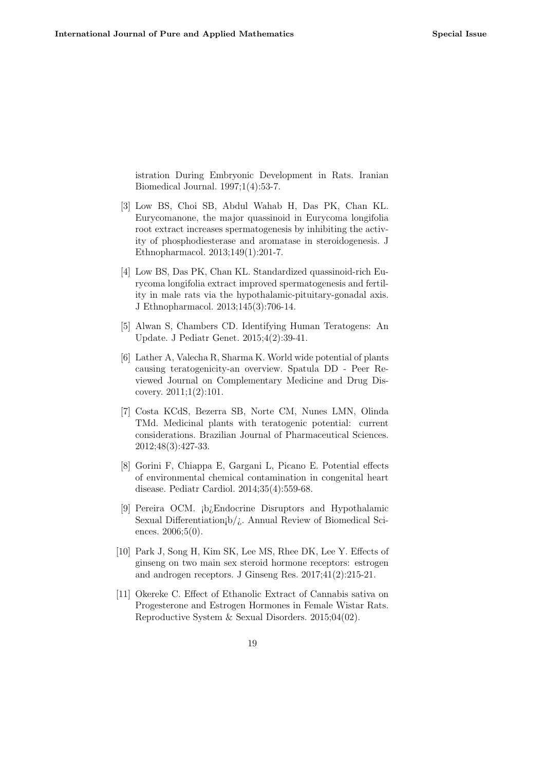istration During Embryonic Development in Rats. Iranian Biomedical Journal. 1997;1(4):53-7.

- [3] Low BS, Choi SB, Abdul Wahab H, Das PK, Chan KL. Eurycomanone, the major quassinoid in Eurycoma longifolia root extract increases spermatogenesis by inhibiting the activity of phosphodiesterase and aromatase in steroidogenesis. J Ethnopharmacol. 2013;149(1):201-7.
- [4] Low BS, Das PK, Chan KL. Standardized quassinoid-rich Eurycoma longifolia extract improved spermatogenesis and fertility in male rats via the hypothalamic-pituitary-gonadal axis. J Ethnopharmacol. 2013;145(3):706-14.
- [5] Alwan S, Chambers CD. Identifying Human Teratogens: An Update. J Pediatr Genet. 2015;4(2):39-41.
- [6] Lather A, Valecha R, Sharma K. World wide potential of plants causing teratogenicity-an overview. Spatula DD - Peer Reviewed Journal on Complementary Medicine and Drug Discovery. 2011;1(2):101.
- [7] Costa KCdS, Bezerra SB, Norte CM, Nunes LMN, Olinda TMd. Medicinal plants with teratogenic potential: current considerations. Brazilian Journal of Pharmaceutical Sciences. 2012;48(3):427-33.
- [8] Gorini F, Chiappa E, Gargani L, Picano E. Potential effects of environmental chemical contamination in congenital heart disease. Pediatr Cardiol. 2014;35(4):559-68.
- [9] Pereira OCM. ¡b¿Endocrine Disruptors and Hypothalamic Sexual Differentiation $b/j$ . Annual Review of Biomedical Sciences. 2006;5(0).
- [10] Park J, Song H, Kim SK, Lee MS, Rhee DK, Lee Y. Effects of ginseng on two main sex steroid hormone receptors: estrogen and androgen receptors. J Ginseng Res. 2017;41(2):215-21.
- [11] Okereke C. Effect of Ethanolic Extract of Cannabis sativa on Progesterone and Estrogen Hormones in Female Wistar Rats. Reproductive System & Sexual Disorders. 2015;04(02).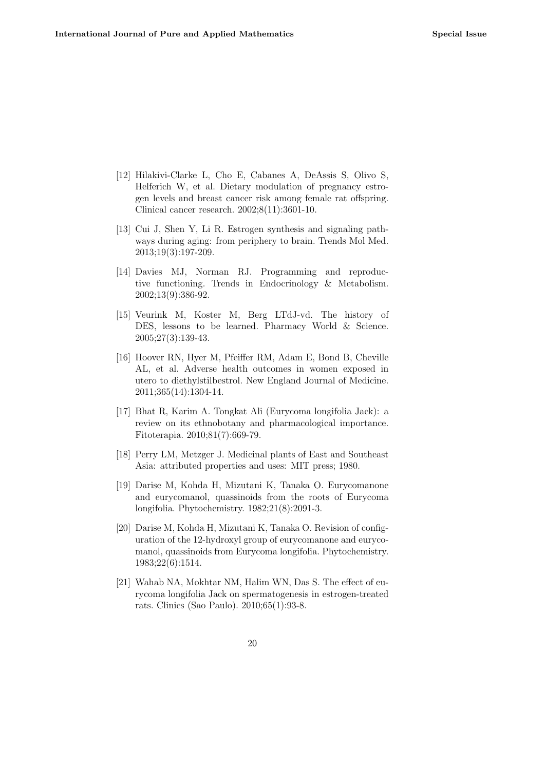- [12] Hilakivi-Clarke L, Cho E, Cabanes A, DeAssis S, Olivo S, Helferich W, et al. Dietary modulation of pregnancy estrogen levels and breast cancer risk among female rat offspring. Clinical cancer research. 2002;8(11):3601-10.
- [13] Cui J, Shen Y, Li R. Estrogen synthesis and signaling pathways during aging: from periphery to brain. Trends Mol Med. 2013;19(3):197-209.
- [14] Davies MJ, Norman RJ. Programming and reproductive functioning. Trends in Endocrinology & Metabolism. 2002;13(9):386-92.
- [15] Veurink M, Koster M, Berg LTdJ-vd. The history of DES, lessons to be learned. Pharmacy World & Science. 2005;27(3):139-43.
- [16] Hoover RN, Hyer M, Pfeiffer RM, Adam E, Bond B, Cheville AL, et al. Adverse health outcomes in women exposed in utero to diethylstilbestrol. New England Journal of Medicine. 2011;365(14):1304-14.
- [17] Bhat R, Karim A. Tongkat Ali (Eurycoma longifolia Jack): a review on its ethnobotany and pharmacological importance. Fitoterapia. 2010;81(7):669-79.
- [18] Perry LM, Metzger J. Medicinal plants of East and Southeast Asia: attributed properties and uses: MIT press; 1980.
- [19] Darise M, Kohda H, Mizutani K, Tanaka O. Eurycomanone and eurycomanol, quassinoids from the roots of Eurycoma longifolia. Phytochemistry. 1982;21(8):2091-3.
- [20] Darise M, Kohda H, Mizutani K, Tanaka O. Revision of configuration of the 12-hydroxyl group of eurycomanone and eurycomanol, quassinoids from Eurycoma longifolia. Phytochemistry. 1983;22(6):1514.
- [21] Wahab NA, Mokhtar NM, Halim WN, Das S. The effect of eurycoma longifolia Jack on spermatogenesis in estrogen-treated rats. Clinics (Sao Paulo). 2010;65(1):93-8.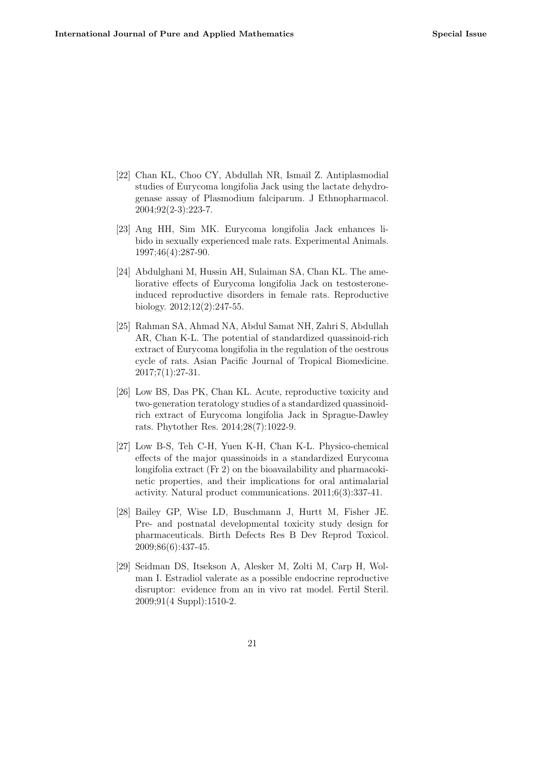- [22] Chan KL, Choo CY, Abdullah NR, Ismail Z. Antiplasmodial studies of Eurycoma longifolia Jack using the lactate dehydrogenase assay of Plasmodium falciparum. J Ethnopharmacol. 2004;92(2-3):223-7.
- [23] Ang HH, Sim MK. Eurycoma longifolia Jack enhances libido in sexually experienced male rats. Experimental Animals. 1997;46(4):287-90.
- [24] Abdulghani M, Hussin AH, Sulaiman SA, Chan KL. The ameliorative effects of Eurycoma longifolia Jack on testosteroneinduced reproductive disorders in female rats. Reproductive biology. 2012;12(2):247-55.
- [25] Rahman SA, Ahmad NA, Abdul Samat NH, Zahri S, Abdullah AR, Chan K-L. The potential of standardized quassinoid-rich extract of Eurycoma longifolia in the regulation of the oestrous cycle of rats. Asian Pacific Journal of Tropical Biomedicine.  $2017;7(1):27-31.$
- [26] Low BS, Das PK, Chan KL. Acute, reproductive toxicity and two-generation teratology studies of a standardized quassinoidrich extract of Eurycoma longifolia Jack in Sprague-Dawley rats. Phytother Res. 2014;28(7):1022-9.
- [27] Low B-S, Teh C-H, Yuen K-H, Chan K-L. Physico-chemical effects of the major quassinoids in a standardized Eurycoma longifolia extract (Fr 2) on the bioavailability and pharmacokinetic properties, and their implications for oral antimalarial activity. Natural product communications. 2011;6(3):337-41.
- [28] Bailey GP, Wise LD, Buschmann J, Hurtt M, Fisher JE. Pre- and postnatal developmental toxicity study design for pharmaceuticals. Birth Defects Res B Dev Reprod Toxicol. 2009;86(6):437-45.
- [29] Seidman DS, Itsekson A, Alesker M, Zolti M, Carp H, Wolman I. Estradiol valerate as a possible endocrine reproductive disruptor: evidence from an in vivo rat model. Fertil Steril. 2009;91(4 Suppl):1510-2.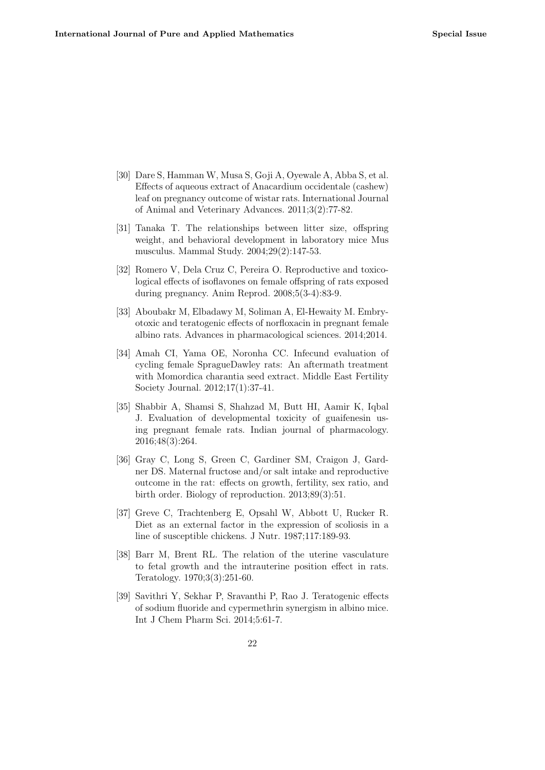- [30] Dare S, Hamman W, Musa S, Goji A, Oyewale A, Abba S, et al. Effects of aqueous extract of Anacardium occidentale (cashew) leaf on pregnancy outcome of wistar rats. International Journal of Animal and Veterinary Advances. 2011;3(2):77-82.
- [31] Tanaka T. The relationships between litter size, offspring weight, and behavioral development in laboratory mice Mus musculus. Mammal Study. 2004;29(2):147-53.
- [32] Romero V, Dela Cruz C, Pereira O. Reproductive and toxicological effects of isoflavones on female offspring of rats exposed during pregnancy. Anim Reprod. 2008;5(3-4):83-9.
- [33] Aboubakr M, Elbadawy M, Soliman A, El-Hewaity M. Embryotoxic and teratogenic effects of norfloxacin in pregnant female albino rats. Advances in pharmacological sciences. 2014;2014.
- [34] Amah CI, Yama OE, Noronha CC. Infecund evaluation of cycling female SpragueDawley rats: An aftermath treatment with Momordica charantia seed extract. Middle East Fertility Society Journal. 2012;17(1):37-41.
- [35] Shabbir A, Shamsi S, Shahzad M, Butt HI, Aamir K, Iqbal J. Evaluation of developmental toxicity of guaifenesin using pregnant female rats. Indian journal of pharmacology. 2016;48(3):264.
- [36] Gray C, Long S, Green C, Gardiner SM, Craigon J, Gardner DS. Maternal fructose and/or salt intake and reproductive outcome in the rat: effects on growth, fertility, sex ratio, and birth order. Biology of reproduction. 2013;89(3):51.
- [37] Greve C, Trachtenberg E, Opsahl W, Abbott U, Rucker R. Diet as an external factor in the expression of scoliosis in a line of susceptible chickens. J Nutr. 1987;117:189-93.
- [38] Barr M, Brent RL. The relation of the uterine vasculature to fetal growth and the intrauterine position effect in rats. Teratology. 1970;3(3):251-60.
- [39] Savithri Y, Sekhar P, Sravanthi P, Rao J. Teratogenic effects of sodium fluoride and cypermethrin synergism in albino mice. Int J Chem Pharm Sci. 2014;5:61-7.